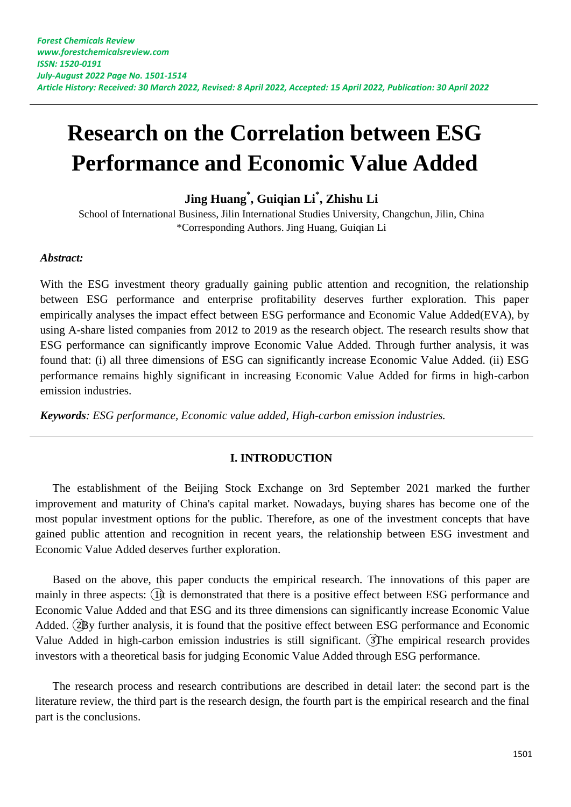# **Research on the Correlation between ESG Performance and Economic Value Added**

**Jing Huang\* , Guiqian Li\* , Zhishu Li**

School of International Business, Jilin International Studies University, Changchun, Jilin, China \*Corresponding Authors. Jing Huang, Guiqian Li

#### *Abstract:*

With the ESG investment theory gradually gaining public attention and recognition, the relationship between ESG performance and enterprise profitability deserves further exploration. This paper empirically analyses the impact effect between ESG performance and Economic Value Added(EVA), by using A-share listed companies from 2012 to 2019 as the research object. The research results show that ESG performance can significantly improve Economic Value Added. Through further analysis, it was found that: (i) all three dimensions of ESG can significantly increase Economic Value Added. (ii) ESG performance remains highly significant in increasing Economic Value Added for firms in high-carbon emission industries.

*Keywords: ESG performance, Economic value added, High-carbon emission industries.*

#### **I. INTRODUCTION**

The establishment of the Beijing Stock Exchange on 3rd September 2021 marked the further improvement and maturity of China's capital market. Nowadays, buying shares has become one of the most popular investment options for the public. Therefore, as one of the investment concepts that have gained public attention and recognition in recent years, the relationship between ESG investment and Economic Value Added deserves further exploration.

Based on the above, this paper conducts the empirical research. The innovations of this paper are mainly in three aspects: (1) is demonstrated that there is a positive effect between ESG performance and Economic Value Added and that ESG and its three dimensions can significantly increase Economic Value Added. (2By further analysis, it is found that the positive effect between ESG performance and Economic Value Added in high-carbon emission industries is still significant. ③The empirical research provides investors with a theoretical basis for judging Economic Value Added through ESG performance.

The research process and research contributions are described in detail later: the second part is the literature review, the third part is the research design, the fourth part is the empirical research and the final part is the conclusions.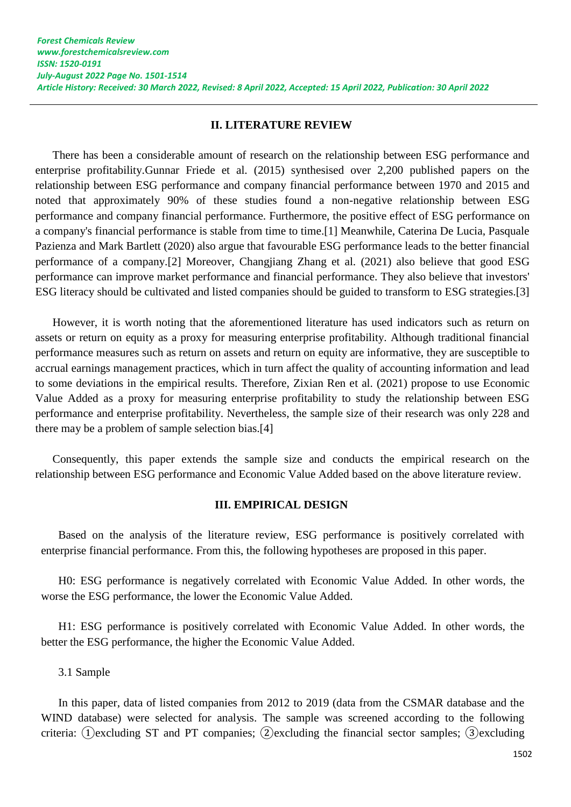#### **II. LITERATURE REVIEW**

There has been a considerable amount of research on the relationship between ESG performance and enterprise profitability.Gunnar Friede et al. (2015) synthesised over 2,200 published papers on the relationship between ESG performance and company financial performance between 1970 and 2015 and noted that approximately 90% of these studies found a non-negative relationship between ESG performance and company financial performance. Furthermore, the positive effect of ESG performance on a company's financial performance is stable from time to time.[1] Meanwhile, Caterina De Lucia, Pasquale Pazienza and Mark Bartlett (2020) also argue that favourable ESG performance leads to the better financial performance of a company.[2] Moreover, Changjiang Zhang et al. (2021) also believe that good ESG performance can improve market performance and financial performance. They also believe that investors' ESG literacy should be cultivated and listed companies should be guided to transform to ESG strategies.[3]

However, it is worth noting that the aforementioned literature has used indicators such as return on assets or return on equity as a proxy for measuring enterprise profitability. Although traditional financial performance measures such as return on assets and return on equity are informative, they are susceptible to accrual earnings management practices, which in turn affect the quality of accounting information and lead to some deviations in the empirical results. Therefore, Zixian Ren et al. (2021) propose to use Economic Value Added as a proxy for measuring enterprise profitability to study the relationship between ESG performance and enterprise profitability. Nevertheless, the sample size of their research was only 228 and there may be a problem of sample selection bias.[4]

Consequently, this paper extends the sample size and conducts the empirical research on the relationship between ESG performance and Economic Value Added based on the above literature review.

#### **III. EMPIRICAL DESIGN**

Based on the analysis of the literature review, ESG performance is positively correlated with enterprise financial performance. From this, the following hypotheses are proposed in this paper.

H0: ESG performance is negatively correlated with Economic Value Added. In other words, the worse the ESG performance, the lower the Economic Value Added.

H1: ESG performance is positively correlated with Economic Value Added. In other words, the better the ESG performance, the higher the Economic Value Added.

3.1 Sample

In this paper, data of listed companies from 2012 to 2019 (data from the CSMAR database and the WIND database) were selected for analysis. The sample was screened according to the following criteria: ① excluding ST and PT companies; ② excluding the financial sector samples; ③ excluding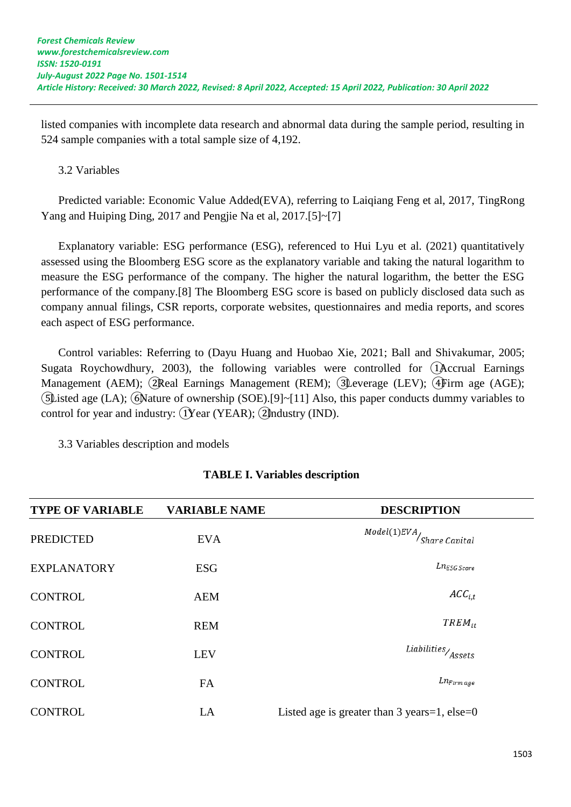listed companies with incomplete data research and abnormal data during the sample period, resulting in 524 sample companies with a total sample size of 4,192.

# 3.2 Variables

Predicted variable: Economic Value Added(EVA), referring to Laiqiang Feng et al, 2017, TingRong Yang and Huiping Ding, 2017 and Pengjie Na et al, 2017.[5]~[7]

Explanatory variable: ESG performance (ESG), referenced to Hui Lyu et al. (2021) quantitatively assessed using the Bloomberg ESG score as the explanatory variable and taking the natural logarithm to measure the ESG performance of the company. The higher the natural logarithm, the better the ESG performance of the company.[8] The Bloomberg ESG score is based on publicly disclosed data such as company annual filings, CSR reports, corporate websites, questionnaires and media reports, and scores each aspect of ESG performance.

Control variables: Referring to (Dayu Huang and Huobao Xie, 2021; Ball and Shivakumar, 2005; Sugata Roychowdhury, 2003), the following variables were controlled for ①Accrual Earnings Management (AEM); ②Real Earnings Management (REM); ③Leverage (LEV); ④Firm age (AGE); ⑤Listed age (LA); ⑥Nature of ownership (SOE).[9]~[11] Also, this paper conducts dummy variables to control for year and industry:  $(Year (YEAR);$  (2) multiples (IND).

3.3 Variables description and models

| <b>TYPE OF VARIABLE</b> | <b>VARIABLE NAME</b> | <b>DESCRIPTION</b>                                              |
|-------------------------|----------------------|-----------------------------------------------------------------|
| <b>PREDICTED</b>        | <b>EVA</b>           | $\textit{Model}(1)\textit{EVA}\xspace / \textit{Share Capital}$ |
| <b>EXPLANATORY</b>      | <b>ESG</b>           | $L n_{ESG\ Score}$                                              |
| <b>CONTROL</b>          | <b>AEM</b>           | $ACC_{i,t}$                                                     |
| <b>CONTROL</b>          | <b>REM</b>           | $TREM_{it}$                                                     |
| <b>CONTROL</b>          | <b>LEV</b>           | $\it Liabilities/Assets$                                        |
| <b>CONTROL</b>          | FA                   | $Ln_{Firm \ age}$                                               |
| <b>CONTROL</b>          | LA                   | Listed age is greater than 3 years=1, else=0                    |

# **TABLE I. Variables description**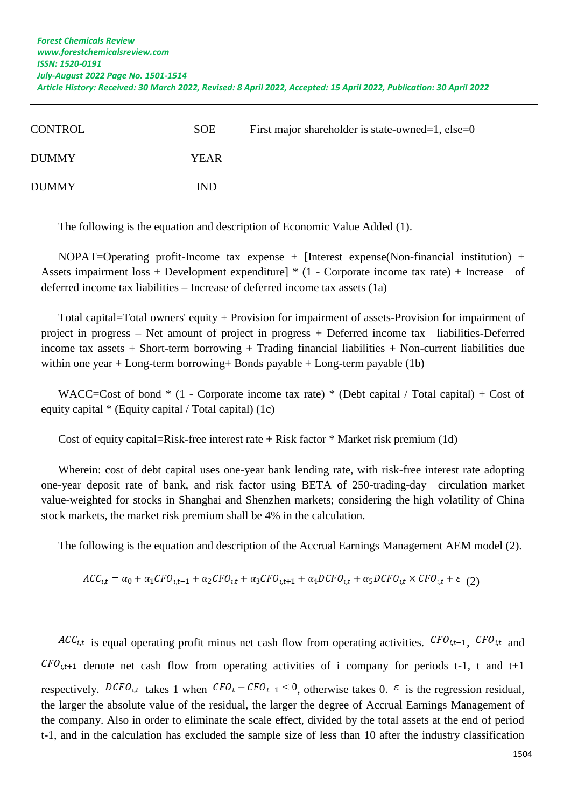| <b>CONTROL</b> | <b>SOE</b>  | First major shareholder is state-owned=1, else=0 |
|----------------|-------------|--------------------------------------------------|
| <b>DUMMY</b>   | <b>YEAR</b> |                                                  |
| <b>DUMMY</b>   | <b>IND</b>  |                                                  |

The following is the equation and description of Economic Value Added (1).

NOPAT=Operating profit-Income tax expense + [Interest expense(Non-financial institution) + Assets impairment loss + Development expenditure] \* (1 - Corporate income tax rate) + Increase of deferred income tax liabilities – Increase of deferred income tax assets (1a)

Total capital=Total owners' equity + Provision for impairment of assets-Provision for impairment of project in progress – Net amount of project in progress + Deferred income tax liabilities-Deferred income tax assets  $+$  Short-term borrowing  $+$  Trading financial liabilities  $+$  Non-current liabilities due within one year + Long-term borrowing+ Bonds payable + Long-term payable (1b)

WACC=Cost of bond  $*$  (1 - Corporate income tax rate)  $*$  (Debt capital / Total capital) + Cost of equity capital \* (Equity capital / Total capital) (1c)

Cost of equity capital=Risk-free interest rate  $+$  Risk factor  $*$  Market risk premium (1d)

Wherein: cost of debt capital uses one-year bank lending rate, with risk-free interest rate adopting one-year deposit rate of bank, and risk factor using BETA of 250-trading-day circulation market value-weighted for stocks in Shanghai and Shenzhen markets; considering the high volatility of China stock markets, the market risk premium shall be 4% in the calculation.

The following is the equation and description of the Accrual Earnings Management AEM model (2).

$$
ACC_{i,t} = \alpha_0 + \alpha_1 CFO_{i,t-1} + \alpha_2 CFO_{i,t} + \alpha_3 CFO_{i,t+1} + \alpha_4 DCFO_{i,t} + \alpha_5 DCFO_{i,t} \times CFO_{i,t} + \varepsilon
$$
 (2)

 $ACC_{i,t}$  is equal operating profit minus net cash flow from operating activities.  $CFO_{i,t-1}$ ,  $CFO_{i,t}$  and  $CFO_{i,t+1}$  denote net cash flow from operating activities of i company for periods t-1, t and t+1 respectively.  $DCFO_{i,t}$  takes 1 when  $CFO_t - CFO_{t-1} < 0$ , otherwise takes 0.  $\varepsilon$  is the regression residual, the larger the absolute value of the residual, the larger the degree of Accrual Earnings Management of the company. Also in order to eliminate the scale effect, divided by the total assets at the end of period t-1, and in the calculation has excluded the sample size of less than 10 after the industry classification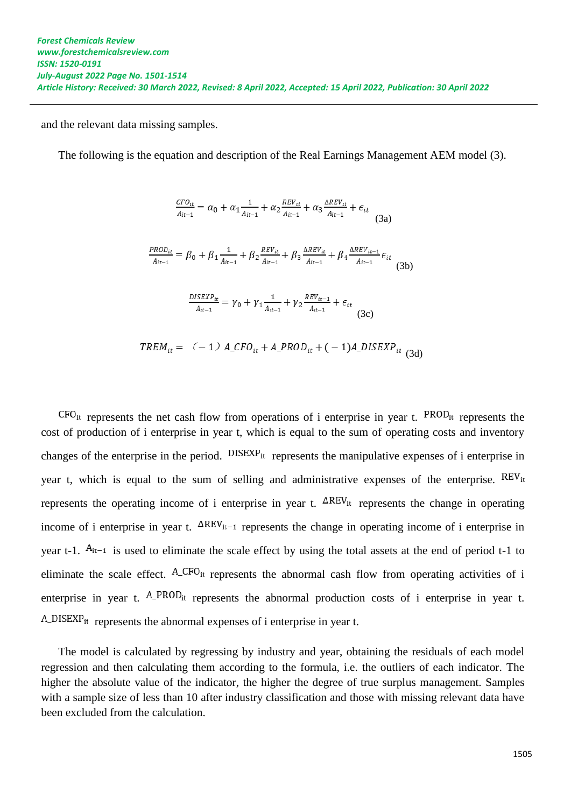and the relevant data missing samples.

The following is the equation and description of the Real Earnings Management AEM model (3).

$$
\frac{c F O_{it}}{A_{it-1}} = \alpha_0 + \alpha_1 \frac{1}{A_{it-1}} + \alpha_2 \frac{REV_{it}}{A_{it-1}} + \alpha_3 \frac{\Delta REV_{it}}{A_{it-1}} + \epsilon_{it}
$$
\n(3a)  
\n
$$
\frac{PROD_{it}}{A_{it-1}} = \beta_0 + \beta_1 \frac{1}{A_{it-1}} + \beta_2 \frac{REV_{it}}{A_{it-1}} + \beta_3 \frac{\Delta REV_{it}}{A_{it-1}} + \beta_4 \frac{\Delta REV_{it-1}}{A_{it-1}} \epsilon_{it}
$$
\n(3b)  
\n
$$
\frac{DISEXP_{it}}{A_{it-1}} = \gamma_0 + \gamma_1 \frac{1}{A_{it-1}} + \gamma_2 \frac{REV_{it-1}}{A_{it-1}} + \epsilon_{it}
$$
\n(3c)

$$
TREM_{it} = (-1) A_cFO_{it} + A_cPROD_{it} + (-1)A_cDISEXP_{it} \tag{3d}
$$

 $CFO_{it}$  represents the net cash flow from operations of i enterprise in year t.  $PROD_{it}$  represents the cost of production of i enterprise in year t, which is equal to the sum of operating costs and inventory changes of the enterprise in the period.  $DISEXP_{it}$  represents the manipulative expenses of i enterprise in year t, which is equal to the sum of selling and administrative expenses of the enterprise. REV<sub>it</sub> represents the operating income of i enterprise in year t.  $\Delta$ REV<sub>it</sub> represents the change in operating income of i enterprise in year t.  $\Delta$ REV<sub>it-1</sub> represents the change in operating income of i enterprise in year t-1.  $A_{it-1}$  is used to eliminate the scale effect by using the total assets at the end of period t-1 to eliminate the scale effect. A\_CFO<sub>it</sub> represents the abnormal cash flow from operating activities of i enterprise in year t. A\_PROD<sub>it</sub> represents the abnormal production costs of i enterprise in year t.  $A$ <sub>DISEXP<sub>it</sub> represents the abnormal expenses of i enterprise in year t.</sub>

The model is calculated by regressing by industry and year, obtaining the residuals of each model regression and then calculating them according to the formula, i.e. the outliers of each indicator. The higher the absolute value of the indicator, the higher the degree of true surplus management. Samples with a sample size of less than 10 after industry classification and those with missing relevant data have been excluded from the calculation.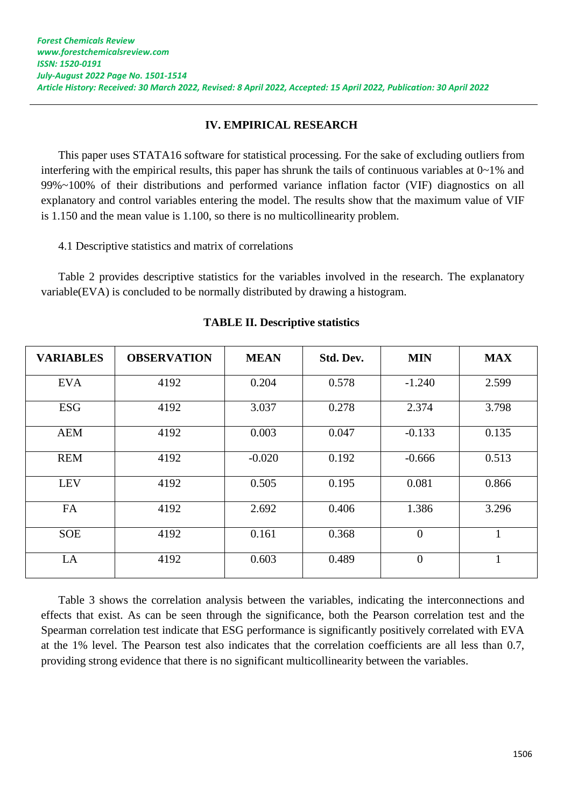# **IV. EMPIRICAL RESEARCH**

This paper uses STATA16 software for statistical processing. For the sake of excluding outliers from interfering with the empirical results, this paper has shrunk the tails of continuous variables at 0~1% and 99%~100% of their distributions and performed variance inflation factor (VIF) diagnostics on all explanatory and control variables entering the model. The results show that the maximum value of VIF is 1.150 and the mean value is 1.100, so there is no multicollinearity problem.

4.1 Descriptive statistics and matrix of correlations

Table 2 provides descriptive statistics for the variables involved in the research. The explanatory variable(EVA) is concluded to be normally distributed by drawing a histogram.

| <b>VARIABLES</b> | <b>OBSERVATION</b> | <b>MEAN</b> | Std. Dev. | <b>MIN</b>     | <b>MAX</b> |
|------------------|--------------------|-------------|-----------|----------------|------------|
| <b>EVA</b>       | 4192               | 0.204       | 0.578     | $-1.240$       | 2.599      |
| <b>ESG</b>       | 4192               | 3.037       | 0.278     | 2.374          | 3.798      |
| <b>AEM</b>       | 4192               | 0.003       | 0.047     | $-0.133$       | 0.135      |
| <b>REM</b>       | 4192               | $-0.020$    | 0.192     | $-0.666$       | 0.513      |
| <b>LEV</b>       | 4192               | 0.505       | 0.195     | 0.081          | 0.866      |
| FA               | 4192               | 2.692       | 0.406     | 1.386          | 3.296      |
| <b>SOE</b>       | 4192               | 0.161       | 0.368     | $\overline{0}$ | 1          |
| LA               | 4192               | 0.603       | 0.489     | $\theta$       | 1          |

**TABLE II. Descriptive statistics** 

Table 3 shows the correlation analysis between the variables, indicating the interconnections and effects that exist. As can be seen through the significance, both the Pearson correlation test and the Spearman correlation test indicate that ESG performance is significantly positively correlated with EVA at the 1% level. The Pearson test also indicates that the correlation coefficients are all less than 0.7, providing strong evidence that there is no significant multicollinearity between the variables.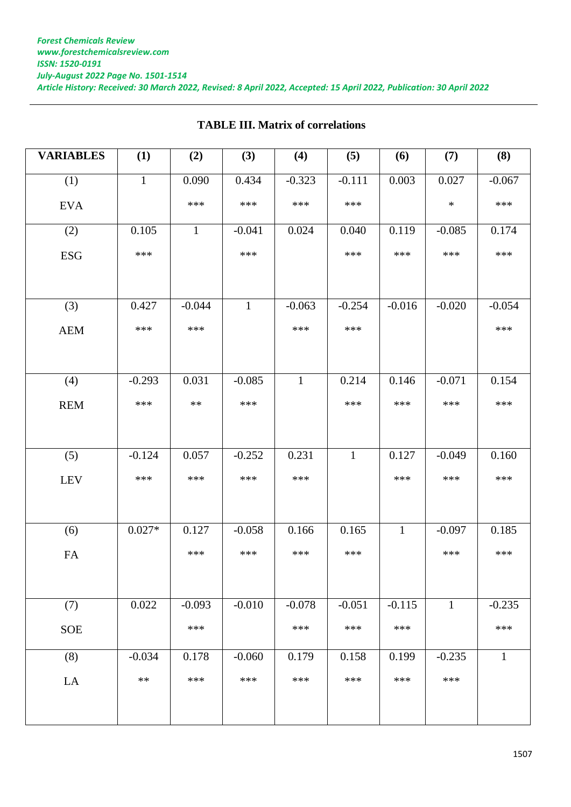| <b>VARIABLES</b> | (1)          | (2)          | (3)          | (4)          | (5)          | (6)          | (7)          | (8)          |
|------------------|--------------|--------------|--------------|--------------|--------------|--------------|--------------|--------------|
| (1)              | $\mathbf{1}$ | 0.090        | 0.434        | $-0.323$     | $-0.111$     | 0.003        | 0.027        | $-0.067$     |
| <b>EVA</b>       |              | ***          | ***          | ***          | ***          |              | $\ast$       | ***          |
| (2)              | 0.105        | $\mathbf{1}$ | $-0.041$     | 0.024        | 0.040        | 0.119        | $-0.085$     | 0.174        |
| <b>ESG</b>       | ***          |              | ***          |              | ***          | ***          | ***          | ***          |
|                  |              |              |              |              |              |              |              |              |
| (3)              | 0.427        | $-0.044$     | $\mathbf{1}$ | $-0.063$     | $-0.254$     | $-0.016$     | $-0.020$     | $-0.054$     |
| <b>AEM</b>       | ***          | ***          |              | ***          | ***          |              |              | ***          |
|                  |              |              |              |              |              |              |              |              |
| (4)              | $-0.293$     | 0.031        | $-0.085$     | $\mathbf{1}$ | 0.214        | 0.146        | $-0.071$     | 0.154        |
| <b>REM</b>       | ***          | $**$         | ***          |              | ***          | ***          | ***          | ***          |
|                  |              |              |              |              |              |              |              |              |
| (5)              | $-0.124$     | 0.057        | $-0.252$     | 0.231        | $\mathbf{1}$ | 0.127        | $-0.049$     | 0.160        |
| <b>LEV</b>       | ***          | ***          | ***          | ***          |              | ***          | ***          | ***          |
|                  |              |              |              |              |              |              |              |              |
| (6)              | $0.027*$     | 0.127        | $-0.058$     | 0.166        | 0.165        | $\mathbf{1}$ | $-0.097$     | 0.185        |
| <b>FA</b>        |              | ***          | ***          | ***          | ***          |              | ***          | ***          |
|                  |              |              |              |              |              |              |              |              |
| (7)              | 0.022        | $-0.093$     | $-0.010$     | $-0.078$     | $-0.051$     | $-0.115$     | $\mathbf{1}$ | $-0.235$     |
| <b>SOE</b>       |              | ***          |              | ***          | ***          | ***          |              | ***          |
| (8)              | $-0.034$     | 0.178        | $-0.060$     | 0.179        | 0.158        | 0.199        | $-0.235$     | $\mathbf{1}$ |
| LA               | $**$         | ***          | ***          | ***          | ***          | ***          | ***          |              |
|                  |              |              |              |              |              |              |              |              |

# **TABLE III. Matrix of correlations**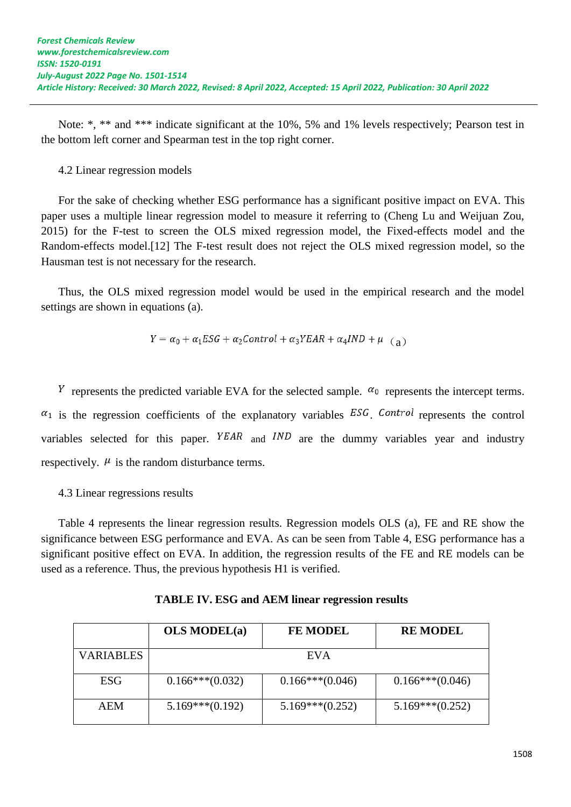Note: \*, \*\* and \*\*\* indicate significant at the 10%, 5% and 1% levels respectively; Pearson test in the bottom left corner and Spearman test in the top right corner.

### 4.2 Linear regression models

For the sake of checking whether ESG performance has a significant positive impact on EVA. This paper uses a multiple linear regression model to measure it referring to (Cheng Lu and Weijuan Zou, 2015) for the F-test to screen the OLS mixed regression model, the Fixed-effects model and the Random-effects model.[12] The F-test result does not reject the OLS mixed regression model, so the Hausman test is not necessary for the research.

Thus, the OLS mixed regression model would be used in the empirical research and the model settings are shown in equations (a).

$$
Y = \alpha_0 + \alpha_1 ESG + \alpha_2 Control + \alpha_3 YEAR + \alpha_4 IND + \mu_{(a)}
$$

<sup>Y</sup> represents the predicted variable EVA for the selected sample.  $\alpha_0$  represents the intercept terms.  $a_1$  is the regression coefficients of the explanatory variables  $ESG$ . Control represents the control variables selected for this paper.  $YEAR$  and  $IND$  are the dummy variables year and industry respectively.  $\mu$  is the random disturbance terms.

# 4.3 Linear regressions results

Table 4 represents the linear regression results. Regression models OLS (a), FE and RE show the significance between ESG performance and EVA. As can be seen from Table 4, ESG performance has a significant positive effect on EVA. In addition, the regression results of the FE and RE models can be used as a reference. Thus, the previous hypothesis H1 is verified.

|                  | <b>OLS MODEL(a)</b> | <b>FE MODEL</b>   | <b>RE MODEL</b>   |
|------------------|---------------------|-------------------|-------------------|
| <b>VARIABLES</b> |                     | EVA               |                   |
| ESG              | $0.166***(0.032)$   | $0.166***(0.046)$ | $0.166***(0.046)$ |
| AEM              | $5.169***(0.192)$   | $5.169***(0.252)$ | $5.169***(0.252)$ |

**TABLE IV. ESG and AEM linear regression results**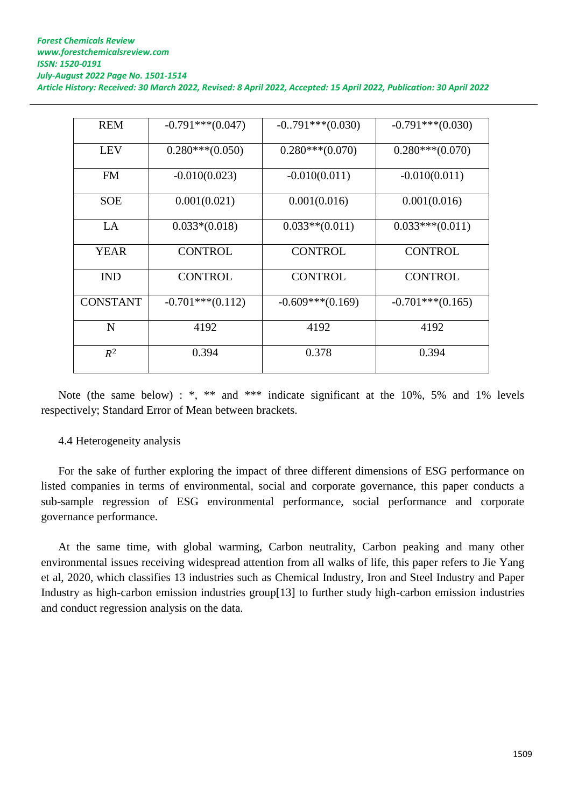| <b>REM</b>      | $-0.791***(0.047)$ | $-0.791***(0.030)$ | $-0.791***(0.030)$ |
|-----------------|--------------------|--------------------|--------------------|
| <b>LEV</b>      | $0.280***(0.050)$  | $0.280***(0.070)$  | $0.280***(0.070)$  |
| <b>FM</b>       | $-0.010(0.023)$    | $-0.010(0.011)$    | $-0.010(0.011)$    |
| <b>SOE</b>      | 0.001(0.021)       | 0.001(0.016)       | 0.001(0.016)       |
| LA              | $0.033*(0.018)$    | $0.033**$ (0.011)  | $0.033***(0.011)$  |
| <b>YEAR</b>     | <b>CONTROL</b>     | <b>CONTROL</b>     | <b>CONTROL</b>     |
| <b>IND</b>      | <b>CONTROL</b>     | <b>CONTROL</b>     | <b>CONTROL</b>     |
| <b>CONSTANT</b> | $-0.701***(0.112)$ | $-0.609***(0.169)$ | $-0.701***(0.165)$ |
| N               | 4192               | 4192               | 4192               |
| $R^2$           | 0.394              | 0.378              | 0.394              |

Note (the same below) : \*, \*\* and \*\*\* indicate significant at the 10%, 5% and 1% levels respectively; Standard Error of Mean between brackets.

# 4.4 Heterogeneity analysis

For the sake of further exploring the impact of three different dimensions of ESG performance on listed companies in terms of environmental, social and corporate governance, this paper conducts a sub-sample regression of ESG environmental performance, social performance and corporate governance performance.

At the same time, with global warming, Carbon neutrality, Carbon peaking and many other environmental issues receiving widespread attention from all walks of life, this paper refers to Jie Yang et al, 2020, which classifies 13 industries such as Chemical Industry, Iron and Steel Industry and Paper Industry as high-carbon emission industries group[13] to further study high-carbon emission industries and conduct regression analysis on the data.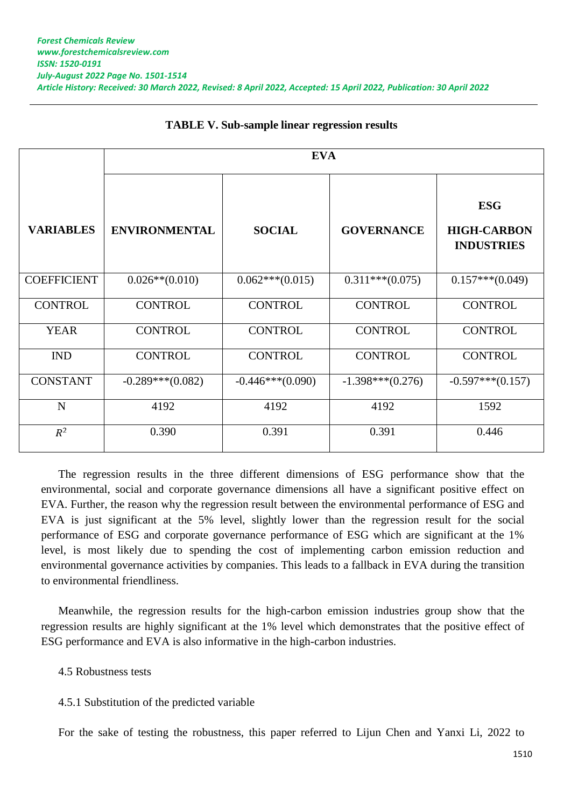|                    | <b>EVA</b>           |                    |                    |                                                       |
|--------------------|----------------------|--------------------|--------------------|-------------------------------------------------------|
| <b>VARIABLES</b>   | <b>ENVIRONMENTAL</b> | <b>SOCIAL</b>      | <b>GOVERNANCE</b>  | <b>ESG</b><br><b>HIGH-CARBON</b><br><b>INDUSTRIES</b> |
| <b>COEFFICIENT</b> | $0.026**$ (0.010)    | $0.062***(0.015)$  | $0.311***(0.075)$  | $0.157***(0.049)$                                     |
| <b>CONTROL</b>     | <b>CONTROL</b>       | <b>CONTROL</b>     | <b>CONTROL</b>     | <b>CONTROL</b>                                        |
| <b>YEAR</b>        | <b>CONTROL</b>       | <b>CONTROL</b>     | <b>CONTROL</b>     | <b>CONTROL</b>                                        |
| <b>IND</b>         | <b>CONTROL</b>       | <b>CONTROL</b>     | <b>CONTROL</b>     | <b>CONTROL</b>                                        |
| <b>CONSTANT</b>    | $-0.289***(0.082)$   | $-0.446***(0.090)$ | $-1.398***(0.276)$ | $-0.597***(0.157)$                                    |
| $\mathbf N$        | 4192                 | 4192               | 4192               | 1592                                                  |
| $R^2$              | 0.390                | 0.391              | 0.391              | 0.446                                                 |

#### **TABLE V. Sub-sample linear regression results**

The regression results in the three different dimensions of ESG performance show that the environmental, social and corporate governance dimensions all have a significant positive effect on EVA. Further, the reason why the regression result between the environmental performance of ESG and EVA is just significant at the 5% level, slightly lower than the regression result for the social performance of ESG and corporate governance performance of ESG which are significant at the 1% level, is most likely due to spending the cost of implementing carbon emission reduction and environmental governance activities by companies. This leads to a fallback in EVA during the transition to environmental friendliness.

Meanwhile, the regression results for the high-carbon emission industries group show that the regression results are highly significant at the 1% level which demonstrates that the positive effect of ESG performance and EVA is also informative in the high-carbon industries.

#### 4.5 Robustness tests

#### 4.5.1 Substitution of the predicted variable

For the sake of testing the robustness, this paper referred to Lijun Chen and Yanxi Li, 2022 to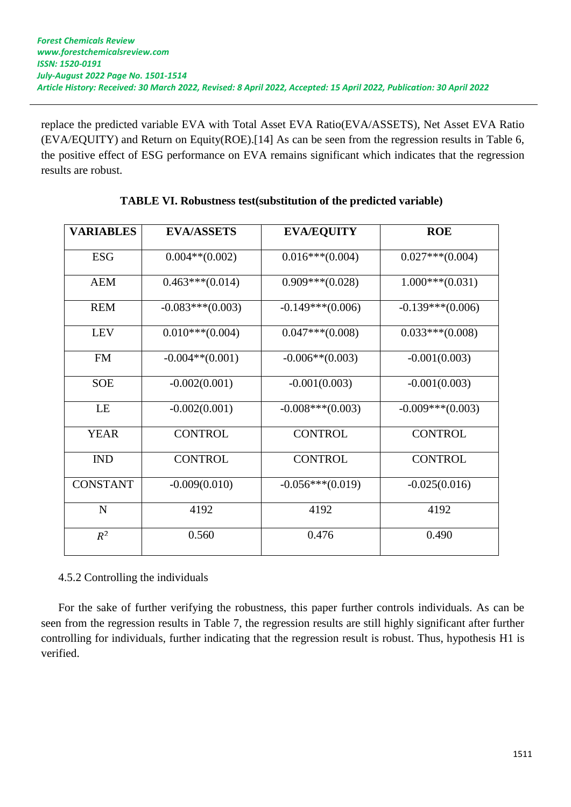replace the predicted variable EVA with Total Asset EVA Ratio(EVA/ASSETS), Net Asset EVA Ratio (EVA/EQUITY) and Return on Equity(ROE).[14] As can be seen from the regression results in Table 6, the positive effect of ESG performance on EVA remains significant which indicates that the regression results are robust.

| <b>VARIABLES</b> | <b>EVA/ASSETS</b>  | <b>EVA/EQUITY</b>  | <b>ROE</b>            |
|------------------|--------------------|--------------------|-----------------------|
| <b>ESG</b>       | $0.004**$ (0.002)  | $0.016***(0.004)$  | $0.027$ *** $(0.004)$ |
| <b>AEM</b>       | $0.463***(0.014)$  | $0.909***(0.028)$  | $1.000***(0.031)$     |
| <b>REM</b>       | $-0.083***(0.003)$ | $-0.149***(0.006)$ | $-0.139***(0.006)$    |
| <b>LEV</b>       | $0.010***(0.004)$  | $0.047***(0.008)$  | $0.033***(0.008)$     |
| <b>FM</b>        | $-0.004**$ (0.001) | $-0.006**$ (0.003) | $-0.001(0.003)$       |
| <b>SOE</b>       | $-0.002(0.001)$    | $-0.001(0.003)$    | $-0.001(0.003)$       |
| LE               | $-0.002(0.001)$    | $-0.008***(0.003)$ | $-0.009***(0.003)$    |
| <b>YEAR</b>      | <b>CONTROL</b>     | <b>CONTROL</b>     | <b>CONTROL</b>        |
| <b>IND</b>       | <b>CONTROL</b>     | <b>CONTROL</b>     | <b>CONTROL</b>        |
| <b>CONSTANT</b>  | $-0.009(0.010)$    | $-0.056***(0.019)$ | $-0.025(0.016)$       |
| $\mathbf N$      | 4192               | 4192               | 4192                  |
| $R^2$            | 0.560              | 0.476              | 0.490                 |

# **TABLE VI. Robustness test(substitution of the predicted variable)**

4.5.2 Controlling the individuals

For the sake of further verifying the robustness, this paper further controls individuals. As can be seen from the regression results in Table 7, the regression results are still highly significant after further controlling for individuals, further indicating that the regression result is robust. Thus, hypothesis H1 is verified.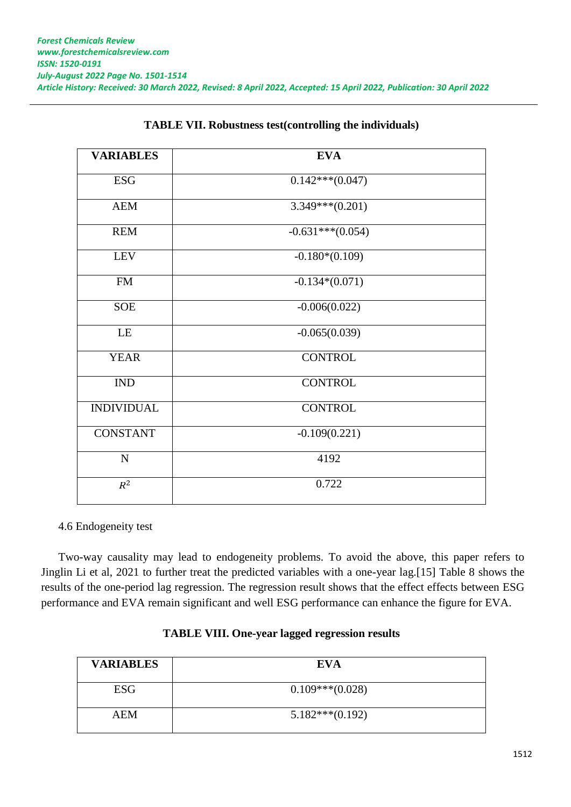| <b>VARIABLES</b>            | <b>EVA</b>         |
|-----------------------------|--------------------|
| <b>ESG</b>                  | $0.142***(0.047)$  |
| <b>AEM</b>                  | $3.349***(0.201)$  |
| <b>REM</b>                  | $-0.631***(0.054)$ |
| <b>LEV</b>                  | $-0.180*(0.109)$   |
| <b>FM</b>                   | $-0.134*(0.071)$   |
| <b>SOE</b>                  | $-0.006(0.022)$    |
| LE                          | $-0.065(0.039)$    |
| <b>YEAR</b>                 | <b>CONTROL</b>     |
| $\mathop{\rm IND}\nolimits$ | <b>CONTROL</b>     |
| <b>INDIVIDUAL</b>           | <b>CONTROL</b>     |
| <b>CONSTANT</b>             | $-0.109(0.221)$    |
| ${\bf N}$                   | 4192               |
| $\mathbb{R}^2$              | 0.722              |

# **TABLE VII. Robustness test(controlling the individuals)**

#### 4.6 Endogeneity test

Two-way causality may lead to endogeneity problems. To avoid the above, this paper refers to Jinglin Li et al, 2021 to further treat the predicted variables with a one-year lag.[15] Table 8 shows the results of the one-period lag regression. The regression result shows that the effect effects between ESG performance and EVA remain significant and well ESG performance can enhance the figure for EVA.

| <b>VARIABLES</b> | <b>EVA</b>        |
|------------------|-------------------|
| <b>ESG</b>       | $0.109***(0.028)$ |
| AEM              | $5.182***(0.192)$ |

# **TABLE VIII. One-year lagged regression results**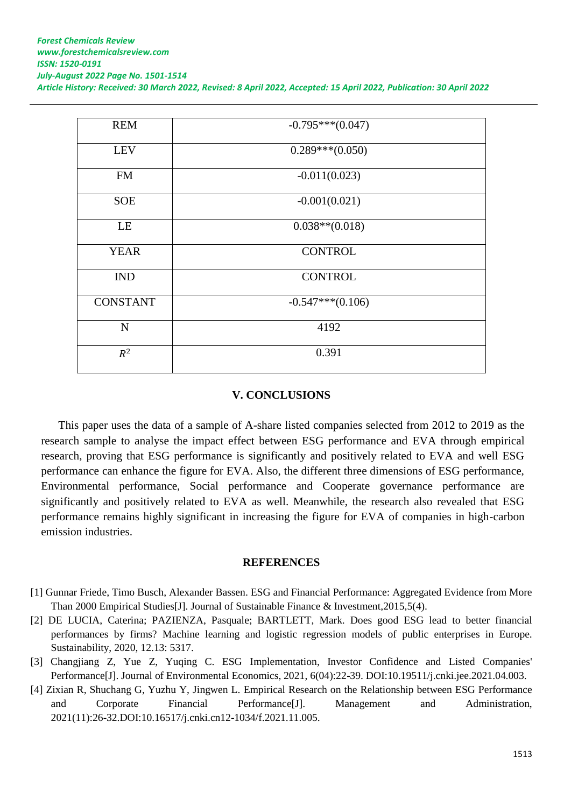| <b>REM</b>      | $-0.795***(0.047)$ |
|-----------------|--------------------|
| <b>LEV</b>      | $0.289***(0.050)$  |
| <b>FM</b>       | $-0.011(0.023)$    |
| <b>SOE</b>      | $-0.001(0.021)$    |
| LE              | $0.038**$ (0.018)  |
| <b>YEAR</b>     | <b>CONTROL</b>     |
| <b>IND</b>      | <b>CONTROL</b>     |
| <b>CONSTANT</b> | $-0.547***(0.106)$ |
| $\mathbf N$     | 4192               |
| $R^2$           | 0.391              |
|                 |                    |

# **V. CONCLUSIONS**

This paper uses the data of a sample of A-share listed companies selected from 2012 to 2019 as the research sample to analyse the impact effect between ESG performance and EVA through empirical research, proving that ESG performance is significantly and positively related to EVA and well ESG performance can enhance the figure for EVA. Also, the different three dimensions of ESG performance, Environmental performance, Social performance and Cooperate governance performance are significantly and positively related to EVA as well. Meanwhile, the research also revealed that ESG performance remains highly significant in increasing the figure for EVA of companies in high-carbon emission industries.

#### **REFERENCES**

- [1] Gunnar Friede, Timo Busch, Alexander Bassen. ESG and Financial Performance: Aggregated Evidence from More Than 2000 Empirical Studies[J]. Journal of Sustainable Finance & Investment,2015,5(4).
- [2] DE LUCIA, Caterina; PAZIENZA, Pasquale; BARTLETT, Mark. Does good ESG lead to better financial performances by firms? Machine learning and logistic regression models of public enterprises in Europe. Sustainability, 2020, 12.13: 5317.
- [3] Changjiang Z, Yue Z, Yuqing C. ESG Implementation, Investor Confidence and Listed Companies' Performance[J]. Journal of Environmental Economics, 2021, 6(04):22-39. DOI:10.19511/j.cnki.jee.2021.04.003.
- [4] Zixian R, Shuchang G, Yuzhu Y, Jingwen L. Empirical Research on the Relationship between ESG Performance and Corporate Financial Performance[J]. Management and Administration, 2021(11):26-32.DOI:10.16517/j.cnki.cn12-1034/f.2021.11.005.